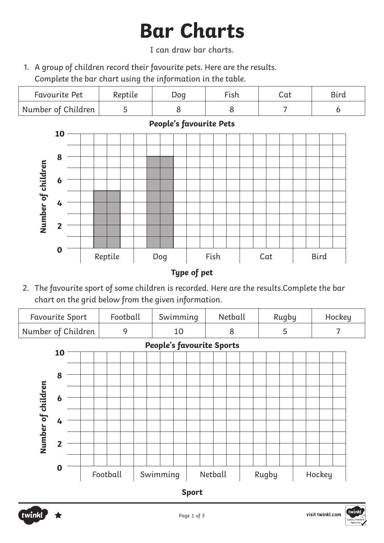# **Bar Charts**

### I can draw bar charts.

1. A group of children record their favourite pets. Here are the results. Complete the bar chart using the information in the table.

| Favourite Pet      | Reptile | Dog | --<br>∙ısh | Cat | Bird |
|--------------------|---------|-----|------------|-----|------|
| Number of Children |         |     |            |     |      |



## **People's favourite Pets**

2. The favourite sport of some children is recorded. Here are the results.Complete the bar chart on the grid below from the given information.

| <b>Favourite Sport</b>           | Football | Swimming | Netball | Rugby | Hockey |  |  |  |  |  |
|----------------------------------|----------|----------|---------|-------|--------|--|--|--|--|--|
| Number of Children               |          | 10       |         |       |        |  |  |  |  |  |
| <b>People's favourite Sports</b> |          |          |         |       |        |  |  |  |  |  |
| 10                               |          |          |         |       |        |  |  |  |  |  |



**Sport**

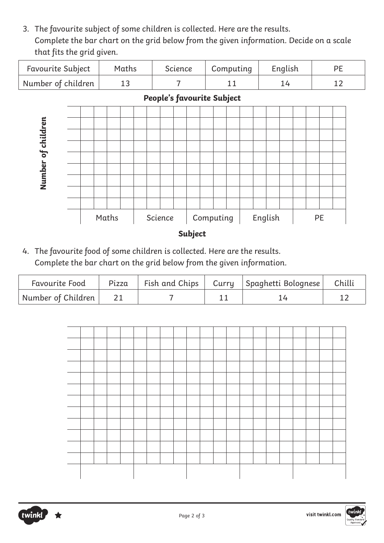3. The favourite subject of some children is collected. Here are the results. Complete the bar chart on the grid below from the given information. Decide on a scale that fits the grid given.

| <b>Favourite Subject</b>         | Maths | Science | Computing | English |  |
|----------------------------------|-------|---------|-----------|---------|--|
| $\mid$ Number of children $\mid$ |       |         |           |         |  |



4. The favourite food of some children is collected. Here are the results. Complete the bar chart on the grid below from the given information.

| <b>Favourite Food</b> | Pizza |  | Fish and Chips   Curry   Spaghetti Bolognese   Chilli |  |
|-----------------------|-------|--|-------------------------------------------------------|--|
| Number of Children 21 |       |  |                                                       |  |





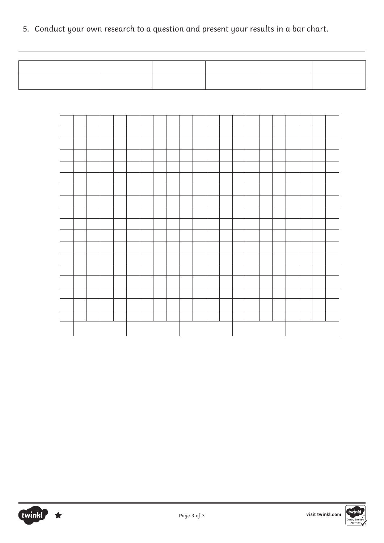5. Conduct your own research to a question and present your results in a bar chart.

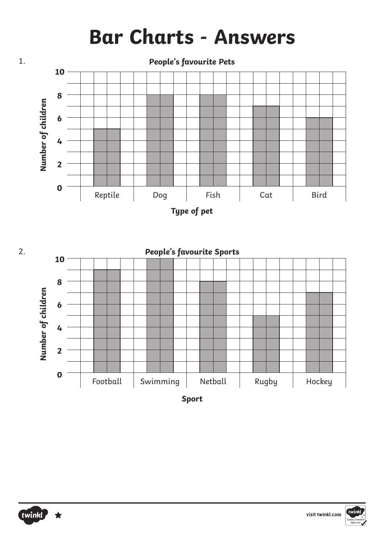## **Bar Charts - Answers**









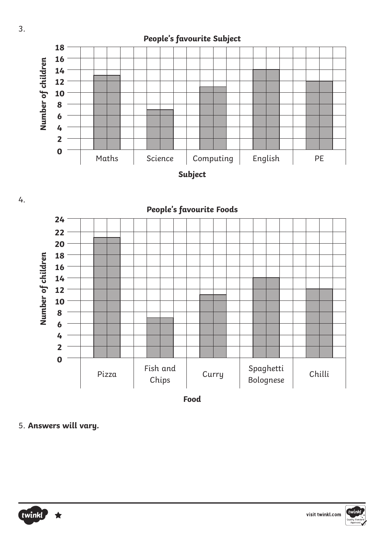



5. **Answers will vary.**



visit twinkl.com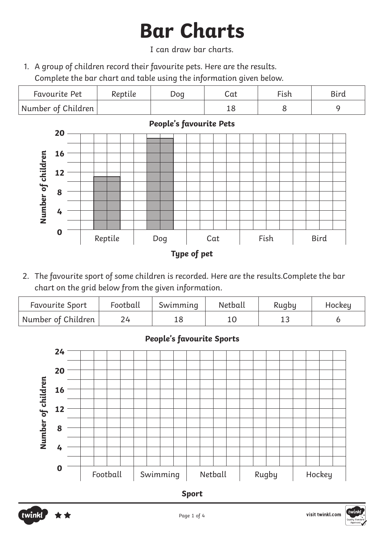# **Bar Charts**

I can draw bar charts.

1. A group of children record their favourite pets. Here are the results. Complete the bar chart and table using the information given below.

| <b>Favourite Pet</b>             | Reptile | Dog | Cat | Fish | <b>Bird</b> |
|----------------------------------|---------|-----|-----|------|-------------|
| $\mid$ Number of Children $\mid$ |         |     |     |      |             |



2. The favourite sport of some children is recorded. Here are the results.Complete the bar chart on the grid below from the given information.

| <b>Favourite Sport</b> | Football | Swimming | Netball | Rugby | Hockey |
|------------------------|----------|----------|---------|-------|--------|
| Number of Children     |          |          |         |       |        |

### **People's favourite Sports**



**Sport**



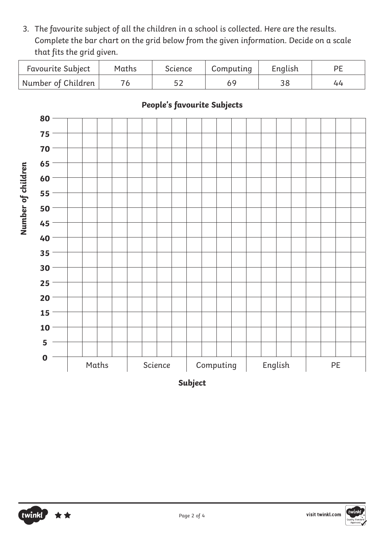3. The favourite subject of all the children in a school is collected. Here are the results. Complete the bar chart on the grid below from the given information. Decide on a scale that fits the grid given.

| <b>Favourite Subject</b> | Maths | Science | Computing | English |  |
|--------------------------|-------|---------|-----------|---------|--|
| Number of Children       |       | 52      |           |         |  |



**People's favourite Subjects**

**Subject**

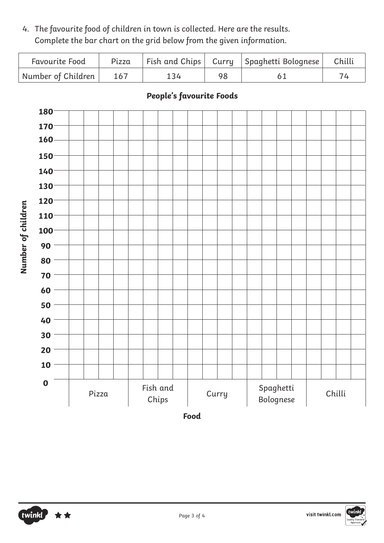4. The favourite food of children in town is collected. Here are the results. Complete the bar chart on the grid below from the given information.

| <b>Favourite Food</b> | Pizza |     | Fish and Chips   Curry   Spaghetti Bolognese   Chilli |  |
|-----------------------|-------|-----|-------------------------------------------------------|--|
| Number of Children    | 167   | 134 |                                                       |  |



### **People's favourite Foods**

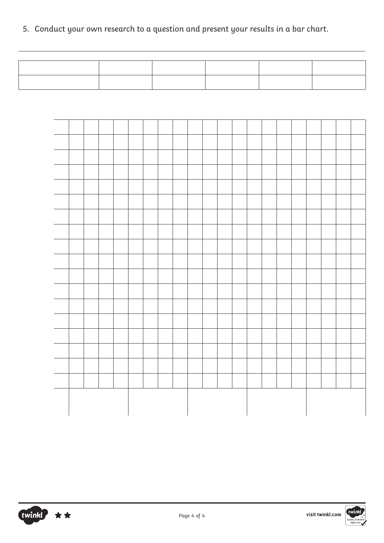5. Conduct your own research to a question and present your results in a bar chart.



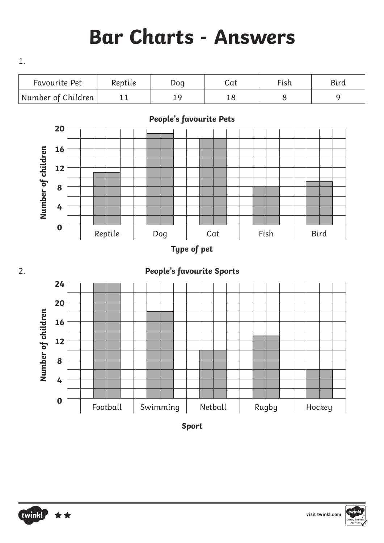## **Bar Charts - Answers**



**Sport**



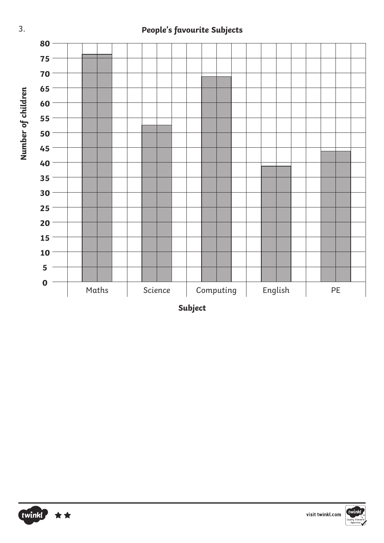### **People's favourite Subjects**



**Subject**





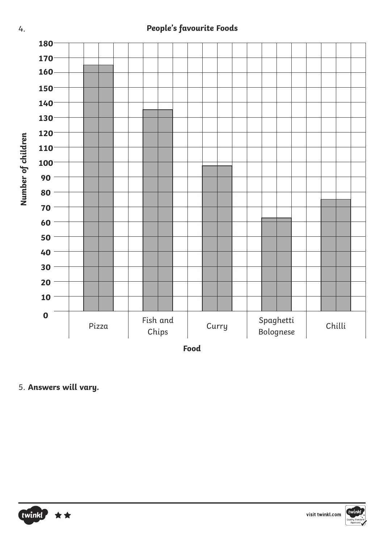### **People's favourite Foods**



5. **Answers will vary.**

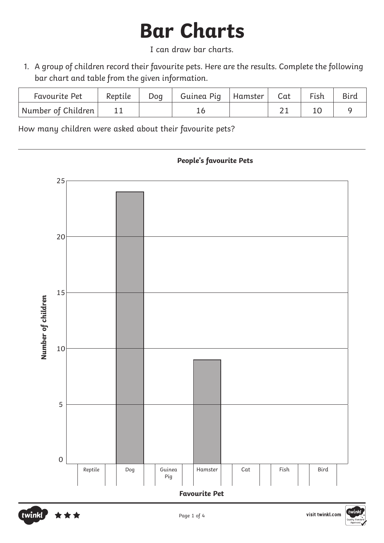# **Bar Charts**

I can draw bar charts.

1. A group of children record their favourite pets. Here are the results. Complete the following bar chart and table from the given information.

| <b>Favourite Pet</b> | Reptile | Dog | Guinea Pig   Hamster | Cat | Fish | Bird |
|----------------------|---------|-----|----------------------|-----|------|------|
| Number of Children   |         |     |                      |     |      |      |

How many children were asked about their favourite pets?



#### **People's favourite Pets**



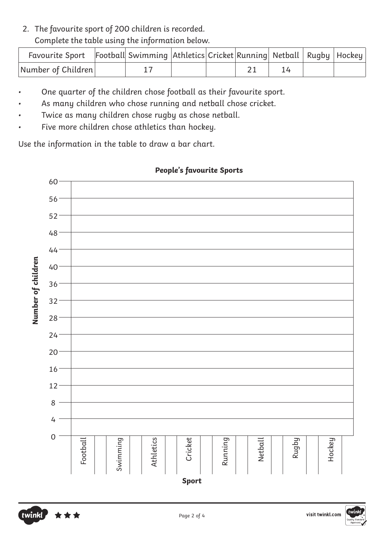### 2. The favourite sport of 200 children is recorded. Complete the table using the information below.

| Favourite Sport Football Swimming Athletics Cricket Running Netball   Rugby   Hockey |  |  |  |  |
|--------------------------------------------------------------------------------------|--|--|--|--|
| Number of Children                                                                   |  |  |  |  |

- One quarter of the children chose football as their favourite sport.
- As many children who chose running and netball chose cricket.
- Twice as many children chose rugby as chose netball.
- Five more children chose athletics than hockey.

Use the information in the table to draw a bar chart.



### **People's favourite Sports**

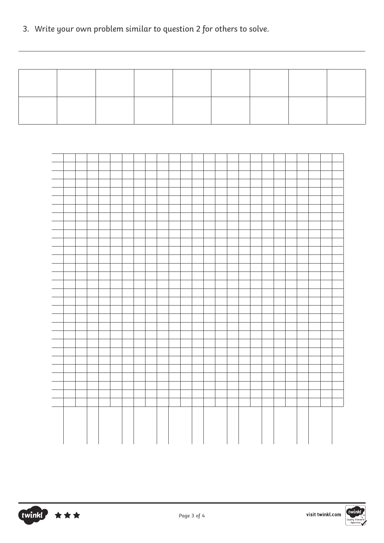3. Write your own problem similar to question 2 for others to solve.





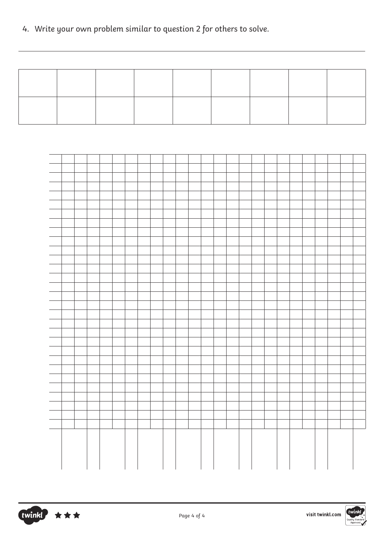4. Write your own problem similar to question 2 for others to solve.



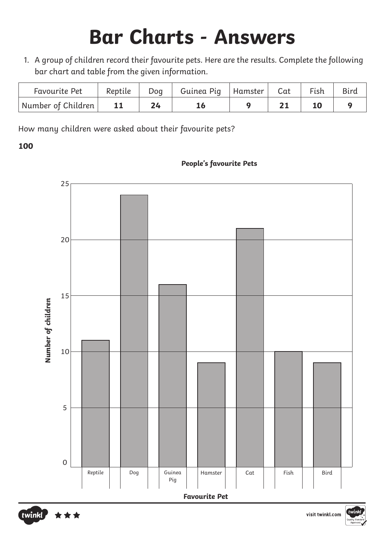# **Bar Charts - Answers**

1. A group of children record their favourite pets. Here are the results. Complete the following bar chart and table from the given information.

| Favourite Pet      | Reptile   | Dog | Guinea Pig   Hamster | $\sqrt{a}$ Cat | Fish |  |
|--------------------|-----------|-----|----------------------|----------------|------|--|
| Number of Children | <b>11</b> |     |                      |                |      |  |

How many children were asked about their favourite pets?

#### **100**

#### **People's favourite Pets**